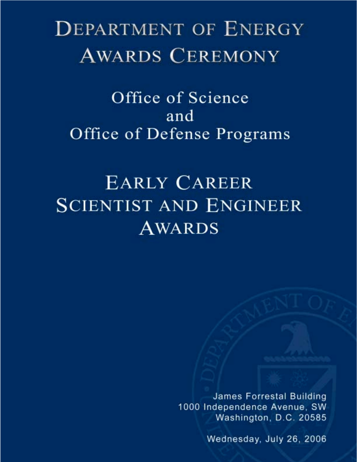# **DEPARTMENT OF ENERGY AWARDS CEREMONY**

Office of Science and Office of Defense Programs

# **EARLY CAREER SCIENTIST AND ENGINEER AWARDS**

James Forrestal Building 1000 Independence Avenue, SW Washington, D.C. 20585

Wednesday, July 26, 2006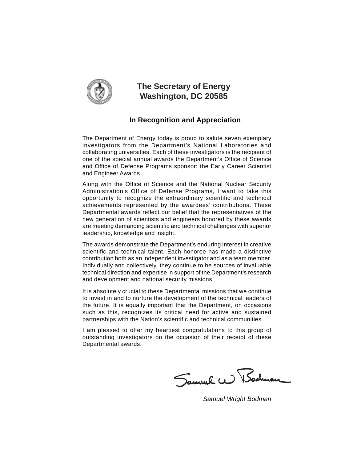

#### **The Secretary of Energy Washington, DC 20585**

#### **In Recognition and Appreciation**

The Department of Energy today is proud to salute seven exemplary investigators from the Department's National Laboratories and collaborating universities. Each of these investigators is the recipient of one of the special annual awards the Department's Office of Science and Office of Defense Programs sponsor: the Early Career Scientist and Engineer Awards.

Along with the Office of Science and the National Nuclear Security Administration's Office of Defense Programs, I want to take this opportunity to recognize the extraordinary scientific and technical achievements represented by the awardees' contributions. These Departmental awards reflect our belief that the representatives of the new generation of scientists and engineers honored by these awards are meeting demanding scientific and technical challenges with superior leadership, knowledge and insight.

The awards demonstrate the Department's enduring interest in creative scientific and technical talent. Each honoree has made a distinctive contribution both as an independent investigator and as a team member. Individually and collectively, they continue to be sources of invaluable technical direction and expertise in support of the Department's research and development and national security missions.

It is absolutely crucial to these Departmental missions that we continue to invest in and to nurture the development of the technical leaders of the future. It is equally important that the Department, on occasions such as this, recognizes its critical need for active and sustained partnerships with the Nation's scientific and technical communities.

I am pleased to offer my heartiest congratulations to this group of outstanding investigators on the occasion of their receipt of these Departmental awards.

Samuel W Bodman

*Samuel Wright Bodman*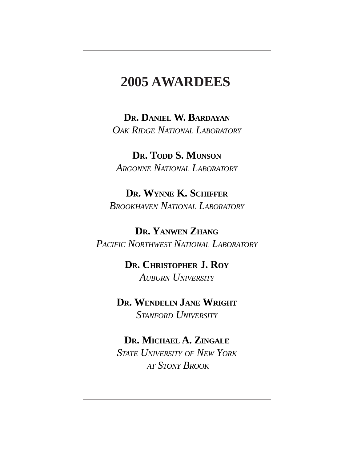#### **2005 AWARDEES**

**DR. DANIEL W. BARDAYAN** *OAK RIDGE NATIONAL LABORATORY*

**DR. TODD S. MUNSON** *ARGONNE NATIONAL LABORATORY*

**DR. WYNNE K. SCHIFFER** *BROOKHAVEN NATIONAL LABORATORY*

**DR. YANWEN ZHANG** *PACIFIC NORTHWEST NATIONAL LABORATORY*

> **DR. CHRISTOPHER J. ROY** *AUBURN UNIVERSITY*

**DR. WENDELIN JANE WRIGHT** *STANFORD UNIVERSITY*

#### **DR. MICHAEL A. ZINGALE**

*STATE UNIVERSITY OF NEW YORK AT STONY BROOK*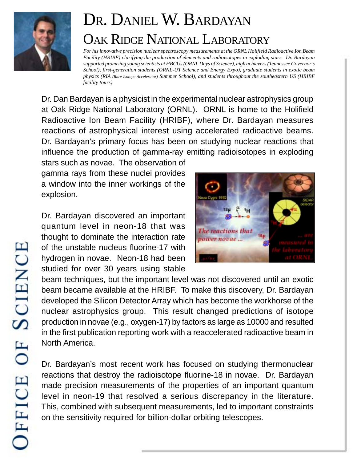

### DR. DANIEL W. BARDAYAN OAK RIDGE NATIONAL LABORATORY

*For his innovative precision nuclear spectroscopy measurements at the ORNL Holifield Radioactive Ion Beam Facility (HRIBF) clarifying the production of elements and radioisotopes in exploding stars. Dr. Bardayan supported promising young scientists at HBCUs (ORNL Days of Science), high achievers (Tennessee Governor's School), first-generation students (ORNL-UT Science and Energy Expo), graduate students in exotic beam physics (RIA (Rare Isotope Accelerator) Summer School), and students throughout the southeastern US (HRIBF facility tours).*

Dr. Dan Bardayan is a physicist in the experimental nuclear astrophysics group at Oak Ridge National Laboratory (ORNL). ORNL is home to the Holifield Radioactive Ion Beam Facility (HRIBF), where Dr. Bardayan measures reactions of astrophysical interest using accelerated radioactive beams. Dr. Bardayan's primary focus has been on studying nuclear reactions that influence the production of gamma-ray emitting radioisotopes in exploding

stars such as novae. The observation of gamma rays from these nuclei provides a window into the inner workings of the explosion.

Dr. Bardayan discovered an important quantum level in neon-18 that was thought to dominate the interaction rate of the unstable nucleus fluorine-17 with hydrogen in novae. Neon-18 had been studied for over 30 years using stable



beam techniques, but the important level was not discovered until an exotic beam became available at the HRIBF. To make this discovery, Dr. Bardayan developed the Silicon Detector Array which has become the workhorse of the nuclear astrophysics group. This result changed predictions of isotope production in novae (e.g., oxygen-17) by factors as large as 10000 and resulted in the first publication reporting work with a reaccelerated radioactive beam in North America.

Dr. Bardayan's most recent work has focused on studying thermonuclear reactions that destroy the radioisotope fluorine-18 in novae. Dr. Bardayan made precision measurements of the properties of an important quantum level in neon-19 that resolved a serious discrepancy in the literature. This, combined with subsequent measurements, led to important constraints on the sensitivity required for billion-dollar orbiting telescopes.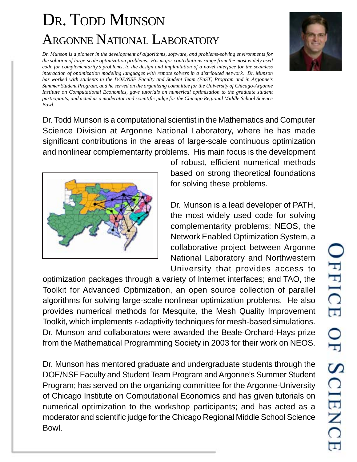## DR. TODD MUNSON ARGONNE NATIONAL LABORATORY

*Dr. Munson is a pioneer in the development of algorithms, software, and problems-solving environments for the solution of large-scale optimization problems. His major contributions range from the most widely used code for complementarity's problems, to the design and implantation of a novel interface for the seamless interaction of optimization modeling languages with remote solvers in a distributed network. Dr. Munson has worked with students in the DOE/NSF Faculty and Student Team (FaST) Program and in Argonne's Summer Student Program, and he served on the organizing committee for the University of Chicago-Argonne Institute on Computational Economics, gave tutorials on numerical optimization to the graduate student participants, and acted as a moderator and scientific judge for the Chicago Regional Middle School Science Bowl.*

Dr. Todd Munson is a computational scientist in the Mathematics and Computer Science Division at Argonne National Laboratory, where he has made

significant contributions in the areas of large-scale continuous optimization and nonlinear complementarity problems. His main focus is the development of robust, efficient numerical methods based on strong theoretical foundations for solving these problems.

> Dr. Munson is a lead developer of PATH, the most widely used code for solving complementarity problems; NEOS, the Network Enabled Optimization System, a collaborative project between Argonne National Laboratory and Northwestern University that provides access to

optimization packages through a variety of Internet interfaces; and TAO, the Toolkit for Advanced Optimization, an open source collection of parallel algorithms for solving large-scale nonlinear optimization problems. He also provides numerical methods for Mesquite, the Mesh Quality Improvement Toolkit, which implements r-adaptivity techniques for mesh-based simulations. Dr. Munson and collaborators were awarded the Beale-Orchard-Hays prize from the Mathematical Programming Society in 2003 for their work on NEOS.

Dr. Munson has mentored graduate and undergraduate students through the DOE/NSF Faculty and Student Team Program and Argonne's Summer Student Program; has served on the organizing committee for the Argonne-University of Chicago Institute on Computational Economics and has given tutorials on numerical optimization to the workshop participants; and has acted as a moderator and scientific judge for the Chicago Regional Middle School Science Bowl.

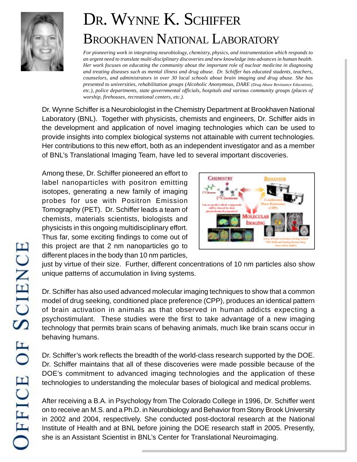

## DR. WYNNE K. SCHIFFER BROOKHAVEN NATIONAL LABORATORY

*For pioneering work in integrating neurobiology, chemistry, physics, and instrumentation which responds to an urgent need to translate multi-disciplinary discoveries and new knowledge into advances in human health. Her work focuses on educating the community about the important role of nuclear medicine in diagnosing and treating diseases such as mental illness and drug abuse. Dr. Schiffer has educated students, teachers, counselors, and administrators in over 30 local schools about brain imaging and drug abuse. She has presented to universities, rehabilitation groups (Alcoholic Anonymous, DARE (Drug Abuse Resistance Education), etc.), police departments, state governmental officials, hospitals and various community groups (places of worship, firehouses, recreational centers, etc.).*

Dr. Wynne Schiffer is a Neurobiologist in the Chemistry Department at Brookhaven National Laboratory (BNL). Together with physicists, chemists and engineers, Dr. Schiffer aids in the development and application of novel imaging technologies which can be used to provide insights into complex biological systems not attainable with current technologies. Her contributions to this new effort, both as an independent investigator and as a member of BNL's Translational Imaging Team, have led to several important discoveries.

Among these, Dr. Schiffer pioneered an effort to label nanoparticles with positron emitting isotopes, generating a new family of imaging probes for use with Positron Emission Tomography (PET). Dr. Schiffer leads a team of chemists, materials scientists, biologists and physicists in this ongoing multidisciplinary effort. Thus far, some exciting findings to come out of this project are that 2 nm nanoparticles go to different places in the body than 10 nm particles,



just by virtue of their size. Further, different concentrations of 10 nm particles also show unique patterns of accumulation in living systems.

Dr. Schiffer has also used advanced molecular imaging techniques to show that a common model of drug seeking, conditioned place preference (CPP), produces an identical pattern of brain activation in animals as that observed in human addicts expecting a psychostimulant. These studies were the first to take advantage of a new imaging technology that permits brain scans of behaving animals, much like brain scans occur in behaving humans.

Dr. Schiffer's work reflects the breadth of the world-class research supported by the DOE. Dr. Schiffer maintains that all of these discoveries were made possible because of the DOE's commitment to advanced imaging technologies and the application of these technologies to understanding the molecular bases of biological and medical problems.

After receiving a B.A. in Psychology from The Colorado College in 1996, Dr. Schiffer went on to receive an M.S. and a Ph.D. in Neurobiology and Behavior from Stony Brook University in 2002 and 2004, respectively. She conducted post-doctoral research at the National Institute of Health and at BNL before joining the DOE research staff in 2005. Presently, she is an Assistant Scientist in BNL's Center for Translational Neuroimaging.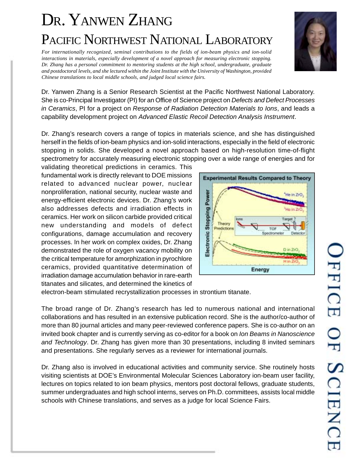## DR. YANWEN ZHANG PACIFIC NORTHWEST NATIONAL LABORATORY

*For internationally recognized, seminal contributions to the fields of ion-beam physics and ion-solid interactions in materials, especially development of a novel approach for measuring electronic stopping. Dr. Zhang has a personal commitment to mentoring students at the high school, undergraduate, graduate and postdoctoral levels, and she lectured within the Joint Institute with the University of Washington, provided Chinese translations to local middle schools, and judged local science fairs.*



Dr. Zhang's research covers a range of topics in materials science, and she has distinguished herself in the fields of ion-beam physics and ion-solid interactions, especially in the field of electronic stopping in solids. She developed a novel approach based on high-resolution time-of-flight spectrometry for accurately measuring electronic stopping over a wide range of energies and for

validating theoretical predictions in ceramics. This fundamental work is directly relevant to DOE missions related to advanced nuclear power, nuclear nonproliferation, national security, nuclear waste and energy-efficient electronic devices. Dr. Zhang's work also addresses defects and irradiation effects in ceramics. Her work on silicon carbide provided critical new understanding and models of defect configurations, damage accumulation and recovery processes. In her work on complex oxides, Dr. Zhang demonstrated the role of oxygen vacancy mobility on the critical temperature for amorphization in pyrochlore ceramics, provided quantitative determination of irradiation damage accumulation behavior in rare-earth titanates and silicates, and determined the kinetics of



electron-beam stimulated recrystallization processes in strontium titanate.

The broad range of Dr. Zhang's research has led to numerous national and international collaborations and has resulted in an extensive publication record. She is the author/co-author of more than 80 journal articles and many peer-reviewed conference papers. She is co-author on an invited book chapter and is currently serving as co-editor for a book on *Ion Beams in Nanoscience and Technology*. Dr. Zhang has given more than 30 presentations, including 8 invited seminars and presentations. She regularly serves as a reviewer for international journals.

Dr. Zhang also is involved in educational activities and community service. She routinely hosts visiting scientists at DOE's Environmental Molecular Sciences Laboratory ion-beam user facility, lectures on topics related to ion beam physics, mentors post doctoral fellows, graduate students, summer undergraduates and high school interns, serves on Ph.D. committees, assists local middle schools with Chinese translations, and serves as a judge for local Science Fairs.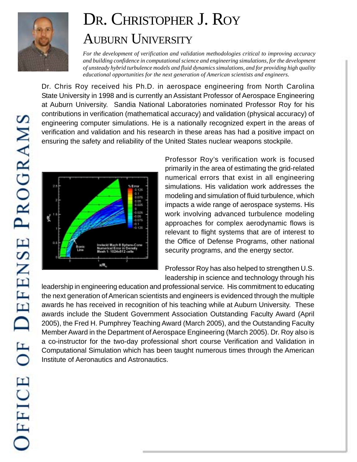

## DR. CHRISTOPHER J. ROY AUBURN UNIVERSITY

*For the development of verification and validation methodologies critical to improving accuracy and building confidence in computational science and engineering simulations, for the development of unsteady hybrid turbulence models and fluid dynamics simulations, and for providing high quality educational opportunities for the next generation of American scientists and engineers.*

Dr. Chris Roy received his Ph.D. in aerospace engineering from North Carolina State University in 1998 and is currently an Assistant Professor of Aerospace Engineering at Auburn University. Sandia National Laboratories nominated Professor Roy for his contributions in verification (mathematical accuracy) and validation (physical accuracy) of engineering computer simulations. He is a nationally recognized expert in the areas of verification and validation and his research in these areas has had a positive impact on ensuring the safety and reliability of the United States nuclear weapons stockpile.



Professor Roy's verification work is focused primarily in the area of estimating the grid-related numerical errors that exist in all engineering simulations. His validation work addresses the modeling and simulation of fluid turbulence, which impacts a wide range of aerospace systems. His work involving advanced turbulence modeling approaches for complex aerodynamic flows is relevant to flight systems that are of interest to the Office of Defense Programs, other national security programs, and the energy sector.

Professor Roy has also helped to strengthen U.S. leadership in science and technology through his

leadership in engineering education and professional service. His commitment to educating the next generation of American scientists and engineers is evidenced through the multiple awards he has received in recognition of his teaching while at Auburn University. These awards include the Student Government Association Outstanding Faculty Award (April 2005), the Fred H. Pumphrey Teaching Award (March 2005), and the Outstanding Faculty Member Award in the Department of Aerospace Engineering (March 2005). Dr. Roy also is a co-instructor for the two-day professional short course Verification and Validation in Computational Simulation which has been taught numerous times through the American Institute of Aeronautics and Astronautics.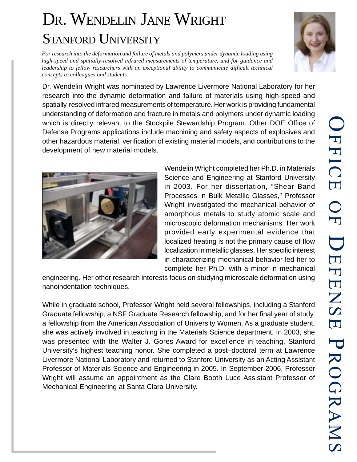## DR. WENDELIN JANE WRIGHT STANFORD UNIVERSITY

*For research into the deformation and failure of metals and polymers under dynamic loading using high-speed and spatially-resolved infrared measurements of temperature, and for guidance and leadership to fellow researchers with an exceptional ability to communicate difficult technical concepts to colleagues and students.*

Dr. Wendelin Wright was nominated by Lawrence Livermore National Laboratory for her research into the dynamic deformation and failure of materials using high-speed and spatially-resolved infrared measurements of temperature. Her work is providing fundamental understanding of deformation and fracture in metals and polymers under dynamic loading which is directly relevant to the Stockpile Stewardship Program. Other DOE Office of Defense Programs applications include machining and safety aspects of explosives and other hazardous material, verification of existing material models, and contributions to the development of new material models.

> Wendelin Wright completed her Ph.D. in Materials Science and Engineering at Stanford University in 2003. For her dissertation, "Shear Band Processes in Bulk Metallic Glasses," Professor Wright investigated the mechanical behavior of amorphous metals to study atomic scale and microscopic deformation mechanisms. Her work provided early experimental evidence that localized heating is not the primary cause of flow localization in metallic glasses. Her specific interest in characterizing mechanical behavior led her to complete her Ph.D. with a minor in mechanical

engineering. Her other research interests focus on studying microscale deformation using nanoindentation techniques.

While in graduate school, Professor Wright held several fellowships, including a Stanford Graduate fellowship, a NSF Graduate Research fellowship, and for her final year of study, a fellowship from the American Association of University Women. As a graduate student, she was actively involved in teaching in the Materials Science department. In 2003, she was presented with the Walter J. Gores Award for excellence in teaching, Stanford University's highest teaching honor. She completed a post–doctoral term at Lawrence Livermore National Laboratory and returned to Stanford University as an Acting Assistant Professor of Materials Science and Engineering in 2005. In September 2006, Professor Wright will assume an appointment as the Clare Booth Luce Assistant Professor of Mechanical Engineering at Santa Clara University.



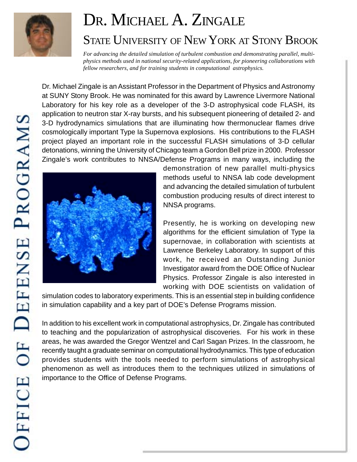

#### DR. MICHAEL A. ZINGALE STATE UNIVERSITY OF NEW YORK AT STONY BROOK

*For advancing the detailed simulation of turbulent combustion and demonstrating parallel, multiphysics methods used in national security-related applications, for pioneering collaborations with fellow researchers, and for training students in computational astrophysics.*

Dr. Michael Zingale is an Assistant Professor in the Department of Physics and Astronomy at SUNY Stony Brook. He was nominated for this award by Lawrence Livermore National Laboratory for his key role as a developer of the 3-D astrophysical code FLASH, its application to neutron star X-ray bursts, and his subsequent pioneering of detailed 2- and 3-D hydrodynamics simulations that are illuminating how thermonuclear flames drive cosmologically important Type Ia Supernova explosions. His contributions to the FLASH project played an important role in the successful FLASH simulations of 3-D cellular detonations, winning the University of Chicago team a Gordon Bell prize in 2000. Professor Zingale's work contributes to NNSA/Defense Programs in many ways, including the



demonstration of new parallel multi-physics methods useful to NNSA lab code development and advancing the detailed simulation of turbulent combustion producing results of direct interest to NNSA programs.

Presently, he is working on developing new algorithms for the efficient simulation of Type Ia supernovae, in collaboration with scientists at Lawrence Berkeley Laboratory. In support of this work, he received an Outstanding Junior Investigator award from the DOE Office of Nuclear Physics. Professor Zingale is also interested in working with DOE scientists on validation of

simulation codes to laboratory experiments. This is an essential step in building confidence in simulation capability and a key part of DOE's Defense Programs mission.

In addition to his excellent work in computational astrophysics, Dr. Zingale has contributed to teaching and the popularization of astrophysical discoveries. For his work in these areas, he was awarded the Gregor Wentzel and Carl Sagan Prizes. In the classroom, he recently taught a graduate seminar on computational hydrodynamics. This type of education provides students with the tools needed to perform simulations of astrophysical phenomenon as well as introduces them to the techniques utilized in simulations of importance to the Office of Defense Programs.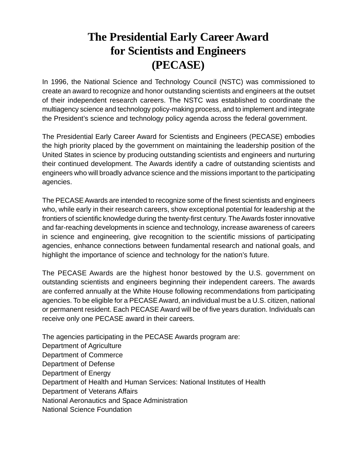#### **The Presidential Early Career Award for Scientists and Engineers (PECASE)**

In 1996, the National Science and Technology Council (NSTC) was commissioned to create an award to recognize and honor outstanding scientists and engineers at the outset of their independent research careers. The NSTC was established to coordinate the multiagency science and technology policy-making process, and to implement and integrate the President's science and technology policy agenda across the federal government.

The Presidential Early Career Award for Scientists and Engineers (PECASE) embodies the high priority placed by the government on maintaining the leadership position of the United States in science by producing outstanding scientists and engineers and nurturing their continued development. The Awards identify a cadre of outstanding scientists and engineers who will broadly advance science and the missions important to the participating agencies.

The PECASE Awards are intended to recognize some of the finest scientists and engineers who, while early in their research careers, show exceptional potential for leadership at the frontiers of scientific knowledge during the twenty-first century. The Awards foster innovative and far-reaching developments in science and technology, increase awareness of careers in science and engineering, give recognition to the scientific missions of participating agencies, enhance connections between fundamental research and national goals, and highlight the importance of science and technology for the nation's future.

The PECASE Awards are the highest honor bestowed by the U.S. government on outstanding scientists and engineers beginning their independent careers. The awards are conferred annually at the White House following recommendations from participating agencies. To be eligible for a PECASE Award, an individual must be a U.S. citizen, national or permanent resident. Each PECASE Award will be of five years duration. Individuals can receive only one PECASE award in their careers.

The agencies participating in the PECASE Awards program are: Department of Agriculture Department of Commerce Department of Defense Department of Energy Department of Health and Human Services: National Institutes of Health Department of Veterans Affairs National Aeronautics and Space Administration National Science Foundation